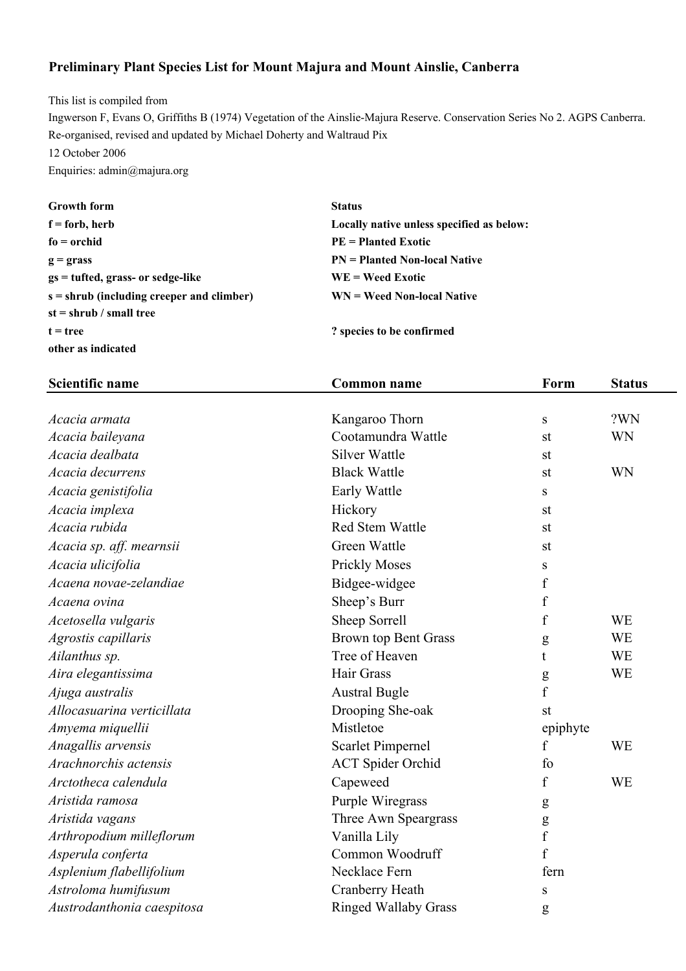## **Preliminary Plant Species List for Mount Majura and Mount Ainslie, Canberra**

This list is compiled from Ingwerson F, Evans O, Griffiths B (1974) Vegetation of the Ainslie-Majura Reserve. Conservation Series No 2. AGPS Canberra. Re-organised, revised and updated by Michael Doherty and Waltraud Pix 12 October 2006 Enquiries: admin@majura.org

| <b>Growth form</b>                          | <b>Status</b>                             |
|---------------------------------------------|-------------------------------------------|
| $f =$ forb, herb                            | Locally native unless specified as below: |
| $fo = orchid$                               | $PE = Planted Exotic$                     |
| $g =$ grass                                 | <b>PN</b> = Planted Non-local Native      |
| $gs = tuffed, grass- or sedge-like$         | $WE = Weed Exotic$                        |
| $s =$ shrub (including creeper and climber) | $WN = Weed Non-local Native$              |
| $st = shrub / small tree$                   |                                           |
| $t = true$                                  | ? species to be confirmed                 |
| other as indicated                          |                                           |

| <b>Scientific name</b>     | <b>Common name</b>          | Form             | <b>Status</b> |
|----------------------------|-----------------------------|------------------|---------------|
|                            |                             |                  |               |
| Acacia armata              | Kangaroo Thorn              | ${\bf S}$        | ?WN           |
| Acacia baileyana           | Cootamundra Wattle          | st               | <b>WN</b>     |
| Acacia dealbata            | <b>Silver Wattle</b>        | st               |               |
| Acacia decurrens           | <b>Black Wattle</b>         | st               | <b>WN</b>     |
| Acacia genistifolia        | Early Wattle                | ${\bf S}$        |               |
| Acacia implexa             | Hickory                     | st               |               |
| Acacia rubida              | Red Stem Wattle             | st               |               |
| Acacia sp. aff. mearnsii   | Green Wattle                | st               |               |
| Acacia ulicifolia          | <b>Prickly Moses</b>        | S                |               |
| Acaena novae-zelandiae     | Bidgee-widgee               | $\mathbf f$      |               |
| Acaena ovina               | Sheep's Burr                | f                |               |
| Acetosella vulgaris        | Sheep Sorrell               | $\boldsymbol{f}$ | <b>WE</b>     |
| Agrostis capillaris        | <b>Brown top Bent Grass</b> | g                | <b>WE</b>     |
| Ailanthus sp.              | Tree of Heaven              | t                | WE            |
| Aira elegantissima         | Hair Grass                  | g                | <b>WE</b>     |
| Ajuga australis            | <b>Austral Bugle</b>        | $\mathbf f$      |               |
| Allocasuarina verticillata | Drooping She-oak            | st               |               |
| Amyema miquellii           | Mistletoe                   | epiphyte         |               |
| Anagallis arvensis         | <b>Scarlet Pimpernel</b>    | f                | WE            |
| Arachnorchis actensis      | <b>ACT</b> Spider Orchid    | fo               |               |
| Arctotheca calendula       | Capeweed                    | f                | <b>WE</b>     |
| Aristida ramosa            | Purple Wiregrass            | ${\bf g}$        |               |
| Aristida vagans            | Three Awn Speargrass        | $\mathbf{g}$     |               |
| Arthropodium milleflorum   | Vanilla Lily                | $\mathbf f$      |               |
| Asperula conferta          | Common Woodruff             | f                |               |
| Asplenium flabellifolium   | Necklace Fern               | fern             |               |
| Astroloma humifusum        | Cranberry Heath             | S                |               |
| Austrodanthonia caespitosa | <b>Ringed Wallaby Grass</b> | g                |               |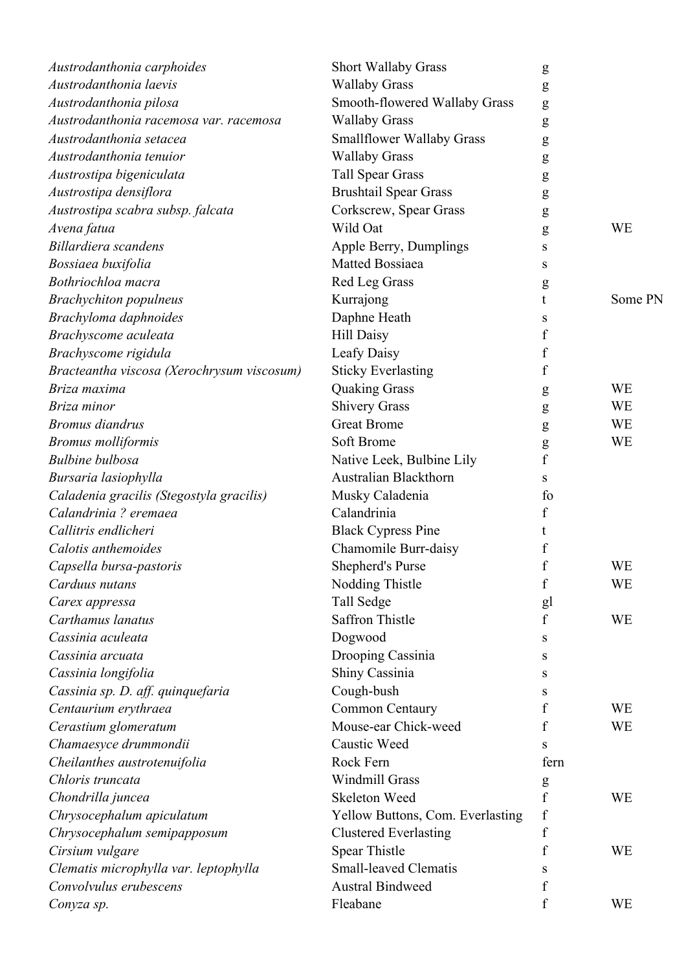| Austrodanthonia carphoides                 | <b>Short Wallaby Grass</b>              | g                |           |
|--------------------------------------------|-----------------------------------------|------------------|-----------|
| Austrodanthonia laevis                     | <b>Wallaby Grass</b>                    | g                |           |
| Austrodanthonia pilosa                     | Smooth-flowered Wallaby Grass           | g                |           |
| Austrodanthonia racemosa var. racemosa     | <b>Wallaby Grass</b>                    | ${\bf g}$        |           |
| Austrodanthonia setacea                    | <b>Smallflower Wallaby Grass</b>        | g                |           |
| Austrodanthonia tenuior                    | <b>Wallaby Grass</b>                    | g                |           |
| Austrostipa bigeniculata                   | <b>Tall Spear Grass</b>                 | g                |           |
| Austrostipa densiflora                     | <b>Brushtail Spear Grass</b>            | g                |           |
| Austrostipa scabra subsp. falcata          | Corkscrew, Spear Grass                  | ${\bf g}$        |           |
| Avena fatua                                | Wild Oat                                | g                | <b>WE</b> |
| Billardiera scandens                       | Apple Berry, Dumplings                  | S                |           |
| Bossiaea buxifolia                         | Matted Bossiaea                         | S                |           |
| Bothriochloa macra                         | Red Leg Grass                           | g                |           |
| <b>Brachychiton</b> populneus              | Kurrajong                               | t                | Some PN   |
| Brachyloma daphnoides                      | Daphne Heath                            | S                |           |
| Brachyscome aculeata                       | <b>Hill Daisy</b>                       | f                |           |
| Brachyscome rigidula                       | Leafy Daisy                             | f                |           |
| Bracteantha viscosa (Xerochrysum viscosum) | <b>Sticky Everlasting</b>               | f                |           |
| Briza maxima                               | <b>Quaking Grass</b>                    | g                | <b>WE</b> |
| Briza minor                                | <b>Shivery Grass</b>                    | g                | <b>WE</b> |
| <b>Bromus</b> diandrus                     | <b>Great Brome</b>                      | g                | <b>WE</b> |
| <b>Bromus molliformis</b>                  | Soft Brome                              | ${\sf g}$        | <b>WE</b> |
| <b>Bulbine bulbosa</b>                     | Native Leek, Bulbine Lily               | $\mathbf f$      |           |
| Bursaria lasiophylla                       | <b>Australian Blackthorn</b>            | S                |           |
| Caladenia gracilis (Stegostyla gracilis)   | Musky Caladenia                         | fo               |           |
| Calandrinia ? eremaea                      | Calandrinia                             | f                |           |
| Callitris endlicheri                       | <b>Black Cypress Pine</b>               | t                |           |
| Calotis anthemoides                        | Chamomile Burr-daisy                    | f                |           |
| Capsella bursa-pastoris                    | Shepherd's Purse                        | $\mathbf f$      | WE        |
| Carduus nutans                             | Nodding Thistle                         | f                | WE        |
| Carex appressa                             | Tall Sedge                              | gl               |           |
| Carthamus lanatus                          | <b>Saffron Thistle</b>                  | $\boldsymbol{f}$ | <b>WE</b> |
| Cassinia aculeata                          | Dogwood                                 | S                |           |
| Cassinia arcuata                           | Drooping Cassinia                       | S                |           |
| Cassinia longifolia                        | Shiny Cassinia                          | S                |           |
| Cassinia sp. D. aff. quinquefaria          | Cough-bush                              | S                |           |
| Centaurium erythraea                       | Common Centaury                         | f                | <b>WE</b> |
| Cerastium glomeratum                       | Mouse-ear Chick-weed                    | f                | <b>WE</b> |
| Chamaesyce drummondii                      | Caustic Weed                            | S                |           |
| Cheilanthes austrotenuifolia               | Rock Fern                               | fern             |           |
| Chloris truncata                           | <b>Windmill Grass</b>                   | g                |           |
| Chondrilla juncea                          | <b>Skeleton Weed</b>                    | $\boldsymbol{f}$ | <b>WE</b> |
| Chrysocephalum apiculatum                  | <b>Yellow Buttons, Com. Everlasting</b> | $\mathbf f$      |           |
| Chrysocephalum semipapposum                | <b>Clustered Everlasting</b>            | f                |           |
| Cirsium vulgare                            | Spear Thistle                           | f                | <b>WE</b> |
| Clematis microphylla var. leptophylla      | <b>Small-leaved Clematis</b>            | S                |           |
| Convolvulus erubescens                     | <b>Austral Bindweed</b>                 | f                |           |
| Conyza sp.                                 | Fleabane                                | f                | WE        |
|                                            |                                         |                  |           |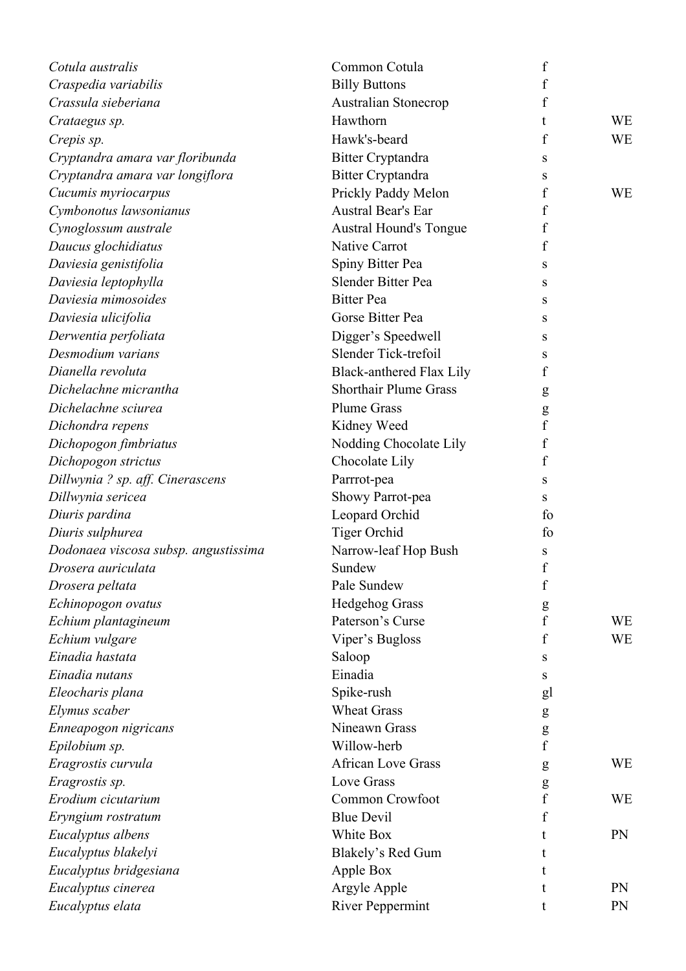| Cotula australis                     | Common Cotula                   | $\boldsymbol{f}$ |           |
|--------------------------------------|---------------------------------|------------------|-----------|
| Craspedia variabilis                 | <b>Billy Buttons</b>            | f                |           |
| Crassula sieberiana                  | <b>Australian Stonecrop</b>     | f                |           |
| Crataegus sp.                        | Hawthorn                        | t                | WE        |
| Crepis sp.                           | Hawk's-beard                    | f                | <b>WE</b> |
| Cryptandra amara var floribunda      | <b>Bitter Cryptandra</b>        | S                |           |
| Cryptandra amara var longiflora      | <b>Bitter Cryptandra</b>        | S                |           |
| Cucumis myriocarpus                  | Prickly Paddy Melon             | f                | <b>WE</b> |
| Cymbonotus lawsonianus               | Austral Bear's Ear              | f                |           |
| Cynoglossum australe                 | <b>Austral Hound's Tongue</b>   | f                |           |
| Daucus glochidiatus                  | <b>Native Carrot</b>            | f                |           |
| Daviesia genistifolia                | Spiny Bitter Pea                | S                |           |
| Daviesia leptophylla                 | Slender Bitter Pea              | S                |           |
| Daviesia mimosoides                  | <b>Bitter Pea</b>               | S                |           |
| Daviesia ulicifolia                  | Gorse Bitter Pea                | S                |           |
| Derwentia perfoliata                 | Digger's Speedwell              | S                |           |
| Desmodium varians                    | Slender Tick-trefoil            | S                |           |
| Dianella revoluta                    | <b>Black-anthered Flax Lily</b> | f                |           |
| Dichelachne micrantha                | <b>Shorthair Plume Grass</b>    | g                |           |
| Dichelachne sciurea                  | <b>Plume Grass</b>              | g                |           |
| Dichondra repens                     | Kidney Weed                     | f                |           |
| Dichopogon fimbriatus                | Nodding Chocolate Lily          | f                |           |
| Dichopogon strictus                  | Chocolate Lily                  | $\boldsymbol{f}$ |           |
| Dillwynia ? sp. aff. Cinerascens     | Parrrot-pea                     | S                |           |
| Dillwynia sericea                    | Showy Parrot-pea                | S                |           |
| Diuris pardina                       | Leopard Orchid                  | fo               |           |
| Diuris sulphurea                     | <b>Tiger Orchid</b>             | fo               |           |
| Dodonaea viscosa subsp. angustissima | Narrow-leaf Hop Bush            | S                |           |
| Drosera auriculata                   | Sundew                          | $\mathbf f$      |           |
| Drosera peltata                      | Pale Sundew                     | f                |           |
| Echinopogon ovatus                   | <b>Hedgehog Grass</b>           | ${\sf g}$        |           |
| Echium plantagineum                  | Paterson's Curse                | $\mathbf f$      | WE        |
| Echium vulgare                       | Viper's Bugloss                 | $\mathbf f$      | <b>WE</b> |
| Einadia hastata                      | Saloop                          | S                |           |
| Einadia nutans                       | Einadia                         | S                |           |
| Eleocharis plana                     | Spike-rush                      | gl               |           |
| Elymus scaber                        | <b>Wheat Grass</b>              | g                |           |
| Enneapogon nigricans                 | Nineawn Grass                   | ${\sf g}$        |           |
| Epilobium sp.                        | Willow-herb                     | f                |           |
| Eragrostis curvula                   | <b>African Love Grass</b>       | g                | WE        |
| Eragrostis sp.                       | <b>Love Grass</b>               | g                |           |
| Erodium cicutarium                   | Common Crowfoot                 | $\mathbf f$      | <b>WE</b> |
| Eryngium rostratum                   | <b>Blue Devil</b>               | f                |           |
| Eucalyptus albens                    | White Box                       |                  | <b>PN</b> |
| Eucalyptus blakelyi                  | Blakely's Red Gum               |                  |           |
| Eucalyptus bridgesiana               | Apple Box                       |                  |           |
| Eucalyptus cinerea                   | Argyle Apple                    |                  | PN        |
| Eucalyptus elata                     | <b>River Peppermint</b>         |                  | PN        |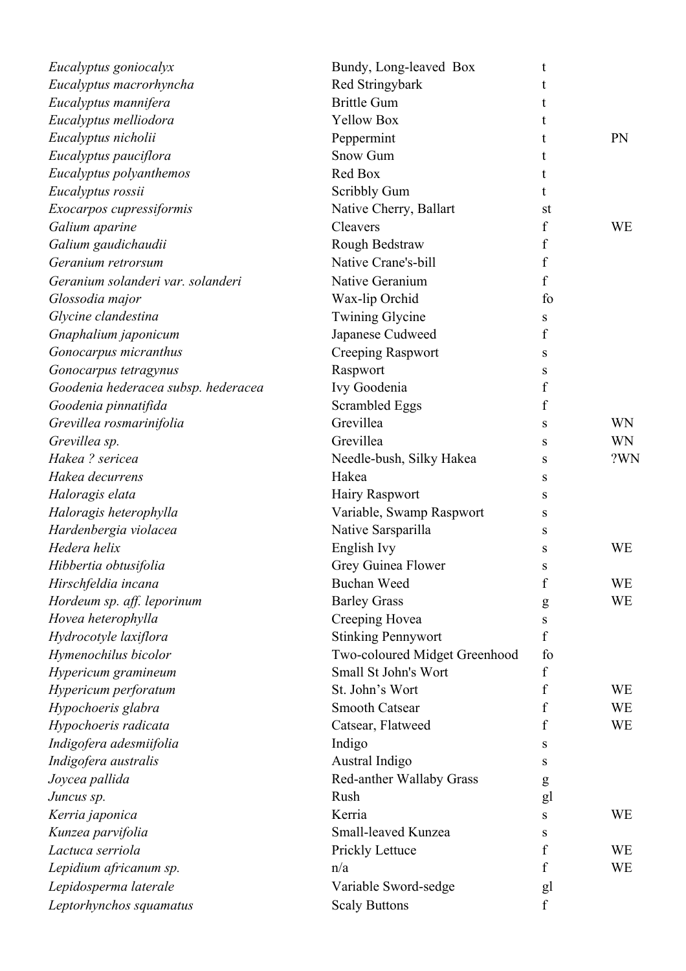| Eucalyptus goniocalyx               | Bundy, Long-leaved Box        | t                |           |
|-------------------------------------|-------------------------------|------------------|-----------|
| Eucalyptus macrorhyncha             | Red Stringybark               |                  |           |
| Eucalyptus mannifera                | <b>Brittle Gum</b>            | t                |           |
| Eucalyptus melliodora               | <b>Yellow Box</b>             | t                |           |
| Eucalyptus nicholii                 | Peppermint                    |                  | PN        |
| Eucalyptus pauciflora               | Snow Gum                      |                  |           |
| Eucalyptus polyanthemos             | Red Box                       | t                |           |
| Eucalyptus rossii                   | <b>Scribbly Gum</b>           | t                |           |
| Exocarpos cupressiformis            | Native Cherry, Ballart        | st               |           |
| Galium aparine                      | Cleavers                      | f                | <b>WE</b> |
| Galium gaudichaudii                 | Rough Bedstraw                | f                |           |
| Geranium retrorsum                  | Native Crane's-bill           | f                |           |
| Geranium solanderi var. solanderi   | Native Geranium               | f                |           |
| Glossodia major                     | Wax-lip Orchid                | fo               |           |
| Glycine clandestina                 | <b>Twining Glycine</b>        | S                |           |
| Gnaphalium japonicum                | Japanese Cudweed              | f                |           |
| Gonocarpus micranthus               | <b>Creeping Raspwort</b>      | S                |           |
| Gonocarpus tetragynus               | Raspwort                      | S                |           |
| Goodenia hederacea subsp. hederacea | Ivy Goodenia                  | f                |           |
| Goodenia pinnatifida                | <b>Scrambled Eggs</b>         | f                |           |
| Grevillea rosmarinifolia            | Grevillea                     | S                | <b>WN</b> |
| Grevillea sp.                       | Grevillea                     | S                | <b>WN</b> |
| Hakea? sericea                      | Needle-bush, Silky Hakea      | S                | ?WN       |
| Hakea decurrens                     | Hakea                         | S                |           |
| Haloragis elata                     | Hairy Raspwort                | S                |           |
| Haloragis heterophylla              | Variable, Swamp Raspwort      | S                |           |
| Hardenbergia violacea               | Native Sarsparilla            | S                |           |
| Hedera helix                        | English Ivy                   | S                | WE        |
| Hibbertia obtusifolia               | Grey Guinea Flower            | S                |           |
| Hirschfeldia incana                 | <b>Buchan Weed</b>            | $\mathbf f$      | <b>WE</b> |
| Hordeum sp. aff. leporinum          | <b>Barley Grass</b>           | g                | <b>WE</b> |
| Hovea heterophylla                  | Creeping Hovea                | S                |           |
| Hydrocotyle laxiflora               | <b>Stinking Pennywort</b>     | f                |           |
| Hymenochilus bicolor                | Two-coloured Midget Greenhood | fo               |           |
| Hypericum gramineum                 | Small St John's Wort          | f                |           |
| Hypericum perforatum                | St. John's Wort               | f                | <b>WE</b> |
| Hypochoeris glabra                  | <b>Smooth Catsear</b>         | f                | <b>WE</b> |
| Hypochoeris radicata                | Catsear, Flatweed             | f                | <b>WE</b> |
| Indigofera adesmiifolia             | Indigo                        | S                |           |
| Indigofera australis                | Austral Indigo                | S                |           |
| Joycea pallida                      | Red-anther Wallaby Grass      |                  |           |
| Juncus sp.                          | Rush                          | g                |           |
|                                     | Kerria                        | gl               | <b>WE</b> |
| Kerria japonica                     | Small-leaved Kunzea           | S                |           |
| Kunzea parvifolia                   |                               | S                |           |
| Lactuca serriola                    | Prickly Lettuce               | f                | <b>WE</b> |
| Lepidium africanum sp.              | n/a                           | f                | <b>WE</b> |
| Lepidosperma laterale               | Variable Sword-sedge          | gl               |           |
| Leptorhynchos squamatus             | <b>Scaly Buttons</b>          | $\boldsymbol{f}$ |           |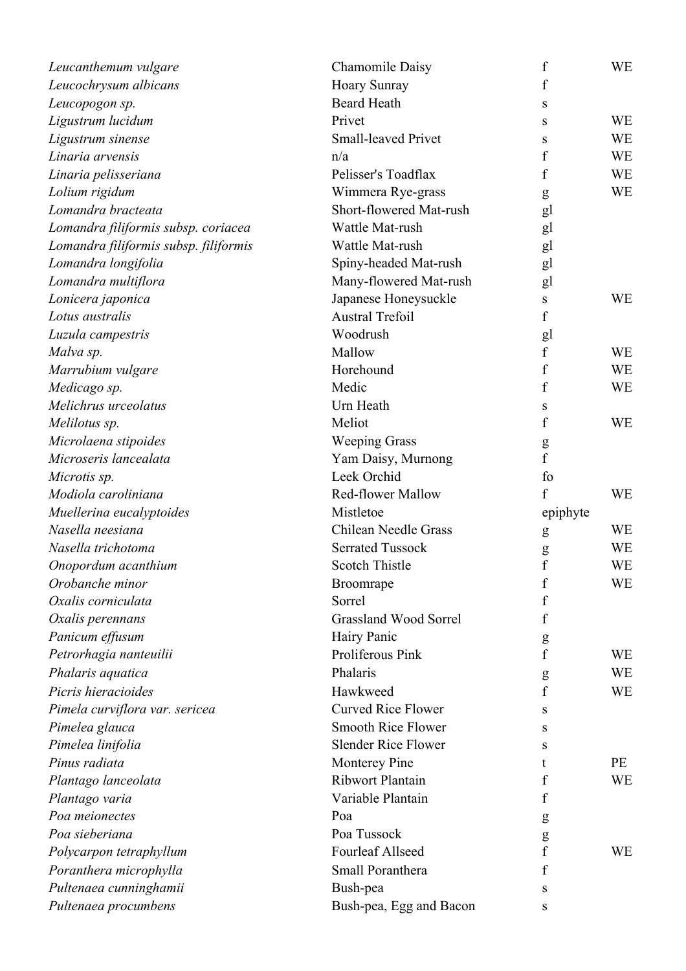| Leucanthemum vulgare                  | <b>Chamomile Daisy</b>       | $\boldsymbol{f}$ | WE        |
|---------------------------------------|------------------------------|------------------|-----------|
| Leucochrysum albicans                 | Hoary Sunray                 | f                |           |
| Leucopogon sp.                        | <b>Beard Heath</b>           | S                |           |
| Ligustrum lucidum                     | Privet                       | S                | WE        |
| Ligustrum sinense                     | <b>Small-leaved Privet</b>   | S                | WE        |
| Linaria arvensis                      | n/a                          | $\rm f$          | WE        |
| Linaria pelisseriana                  | Pelisser's Toadflax          | f                | <b>WE</b> |
| Lolium rigidum                        | Wimmera Rye-grass            | g                | <b>WE</b> |
| Lomandra bracteata                    | Short-flowered Mat-rush      | gl               |           |
| Lomandra filiformis subsp. coriacea   | Wattle Mat-rush              | gl               |           |
| Lomandra filiformis subsp. filiformis | Wattle Mat-rush              | gl               |           |
| Lomandra longifolia                   | Spiny-headed Mat-rush        | gl               |           |
| Lomandra multiflora                   | Many-flowered Mat-rush       | gl               |           |
| Lonicera japonica                     | Japanese Honeysuckle         | S                | <b>WE</b> |
| Lotus australis                       | <b>Austral Trefoil</b>       | f                |           |
| Luzula campestris                     | Woodrush                     | gl               |           |
| Malva sp.                             | Mallow                       | $\mathbf f$      | <b>WE</b> |
| Marrubium vulgare                     | Horehound                    | $\rm f$          | WE        |
| Medicago sp.                          | Medic                        | f                | WE        |
| Melichrus urceolatus                  | Urn Heath                    | S                |           |
| Melilotus sp.                         | Meliot                       | f                | <b>WE</b> |
| Microlaena stipoides                  | <b>Weeping Grass</b>         | g                |           |
| Microseris lancealata                 | Yam Daisy, Murnong           | $\mathbf f$      |           |
| Microtis sp.                          | Leek Orchid                  | fo               |           |
| Modiola caroliniana                   | <b>Red-flower Mallow</b>     | $\mathbf{f}$     | WE        |
| Muellerina eucalyptoides              | Mistletoe                    | epiphyte         |           |
| Nasella neesiana                      | <b>Chilean Needle Grass</b>  | g                | WE        |
| Nasella trichotoma                    | <b>Serrated Tussock</b>      | g                | WE        |
| Onopordum acanthium                   | <b>Scotch Thistle</b>        | f                | WE        |
| Orobanche minor                       | Broomrape                    | f                | WE        |
| Oxalis corniculata                    | Sorrel                       | f                |           |
| Oxalis perennans                      | <b>Grassland Wood Sorrel</b> | f                |           |
| Panicum effusum                       | Hairy Panic                  | g                |           |
| Petrorhagia nanteuilii                | Proliferous Pink             | f                | WE        |
| Phalaris aquatica                     | Phalaris                     | $\mathbf{g}$     | <b>WE</b> |
| Picris hieracioides                   | Hawkweed                     | f                | WE        |
| Pimela curviflora var. sericea        | <b>Curved Rice Flower</b>    | S                |           |
| Pimelea glauca                        | <b>Smooth Rice Flower</b>    | S                |           |
| Pimelea linifolia                     | <b>Slender Rice Flower</b>   | S                |           |
| Pinus radiata                         | Monterey Pine                | t                | PE        |
| Plantago lanceolata                   | Ribwort Plantain             | f                | WE        |
| Plantago varia                        | Variable Plantain            | f                |           |
| Poa meionectes                        | Poa                          | g                |           |
| Poa sieberiana                        | Poa Tussock                  | g                |           |
| Polycarpon tetraphyllum               | <b>Fourleaf Allseed</b>      | f                | WE        |
| Poranthera microphylla                | Small Poranthera             | $\rm f$          |           |
| Pultenaea cunninghamii                | Bush-pea                     | S                |           |
| Pultenaea procumbens                  | Bush-pea, Egg and Bacon      | S                |           |
|                                       |                              |                  |           |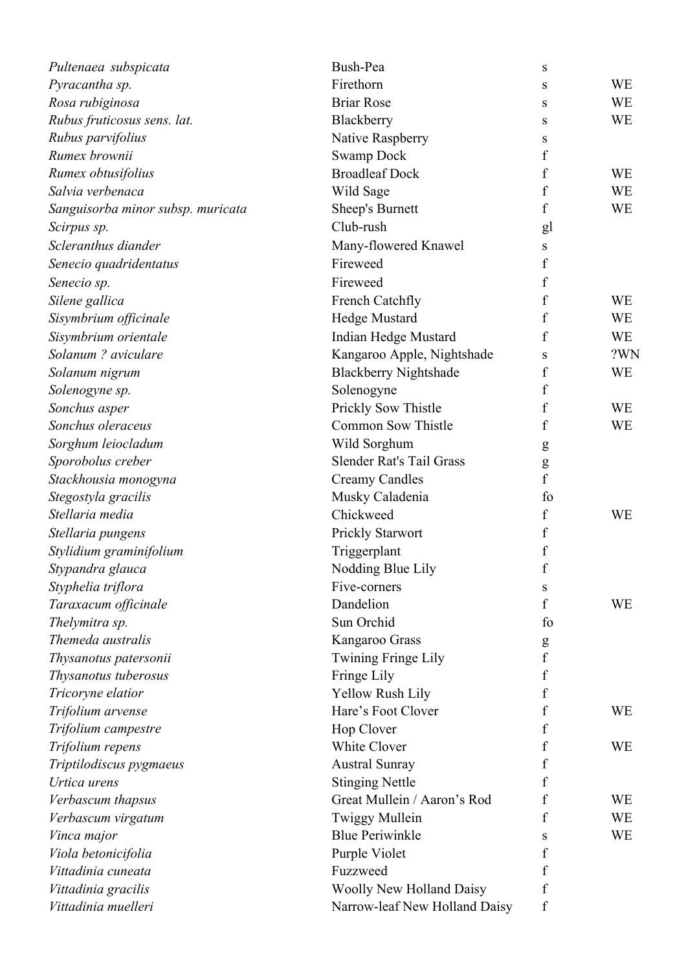| Pultenaea subspicata                       | Bush-Pea                      | S                     |           |
|--------------------------------------------|-------------------------------|-----------------------|-----------|
| Pyracantha sp.                             | Firethorn                     | S                     | <b>WE</b> |
| Rosa rubiginosa                            | <b>Briar Rose</b>             | S                     | <b>WE</b> |
| Rubus fruticosus sens. lat.                | Blackberry                    | S                     | <b>WE</b> |
| Rubus parvifolius                          | Native Raspberry              | S                     |           |
| Rumex brownii                              | <b>Swamp Dock</b>             | $\boldsymbol{f}$      |           |
| Rumex obtusifolius                         | <b>Broadleaf Dock</b>         | $\boldsymbol{f}$      | <b>WE</b> |
| Salvia verbenaca                           | Wild Sage                     | f                     | <b>WE</b> |
| Sanguisorba minor subsp. muricata          | Sheep's Burnett               | $\boldsymbol{f}$      | <b>WE</b> |
| Scirpus sp.                                | Club-rush                     | gl                    |           |
| Scleranthus diander                        | Many-flowered Knawel          | S                     |           |
| Senecio quadridentatus                     | Fireweed                      | f                     |           |
| Senecio sp.                                | Fireweed                      | f                     |           |
| Silene gallica                             | French Catchfly               | f                     | <b>WE</b> |
| Sisymbrium officinale                      | Hedge Mustard                 | $\boldsymbol{f}$      | <b>WE</b> |
| Sisymbrium orientale                       | <b>Indian Hedge Mustard</b>   | f                     | WE        |
| Solanum ? aviculare                        | Kangaroo Apple, Nightshade    | S                     | ?WN       |
| Solanum nigrum                             | <b>Blackberry Nightshade</b>  | f                     | <b>WE</b> |
| Solenogyne sp.                             | Solenogyne                    | f                     |           |
| Sonchus asper                              | Prickly Sow Thistle           | f                     | <b>WE</b> |
| Sonchus oleraceus                          | <b>Common Sow Thistle</b>     | f                     | <b>WE</b> |
| Sorghum leiocladum                         | Wild Sorghum                  | g                     |           |
| Sporobolus creber                          | Slender Rat's Tail Grass      | ${\sf g}$             |           |
| Stackhousia monogyna                       | <b>Creamy Candles</b>         | f                     |           |
| Stegostyla gracilis                        | Musky Caladenia               | fo                    |           |
| Stellaria media                            | Chickweed                     | f                     | WE        |
| Stellaria pungens                          | Prickly Starwort              | $\boldsymbol{f}$      |           |
| Stylidium graminifolium                    | Triggerplant                  | f                     |           |
| Stypandra glauca                           | Nodding Blue Lily             | $\mathbf f$           |           |
| Styphelia triflora                         | Five-corners                  | S                     |           |
| Taraxacum officinale                       | Dandelion                     | f                     | <b>WE</b> |
| Thelymitra sp.                             | Sun Orchid                    | fo                    |           |
| Themeda australis                          | Kangaroo Grass                |                       |           |
| Thysanotus patersonii                      | <b>Twining Fringe Lily</b>    | g<br>$\boldsymbol{f}$ |           |
| Thysanotus tuberosus                       | Fringe Lily                   | f                     |           |
| Tricoryne elatior                          | Yellow Rush Lily              | f                     |           |
| Trifolium arvense                          | Hare's Foot Clover            | f                     | <b>WE</b> |
| Trifolium campestre                        | Hop Clover                    | f                     |           |
| Trifolium repens                           | White Clover                  | f                     | <b>WE</b> |
| Triptilodiscus pygmaeus                    | <b>Austral Sunray</b>         | f                     |           |
| Urtica urens                               | <b>Stinging Nettle</b>        | f                     |           |
| Verbascum thapsus                          | Great Mullein / Aaron's Rod   | f                     | <b>WE</b> |
| Verbascum virgatum                         | <b>Twiggy Mullein</b>         | f                     | <b>WE</b> |
|                                            | <b>Blue Periwinkle</b>        |                       | WE        |
| Vinca major<br>Viola betonicifolia         | Purple Violet                 | S<br>f                |           |
| Vittadinia cuneata                         | Fuzzweed                      | f                     |           |
|                                            |                               | f                     |           |
| Vittadinia gracilis<br>Vittadinia muelleri | Woolly New Holland Daisy      |                       |           |
|                                            | Narrow-leaf New Holland Daisy | f                     |           |